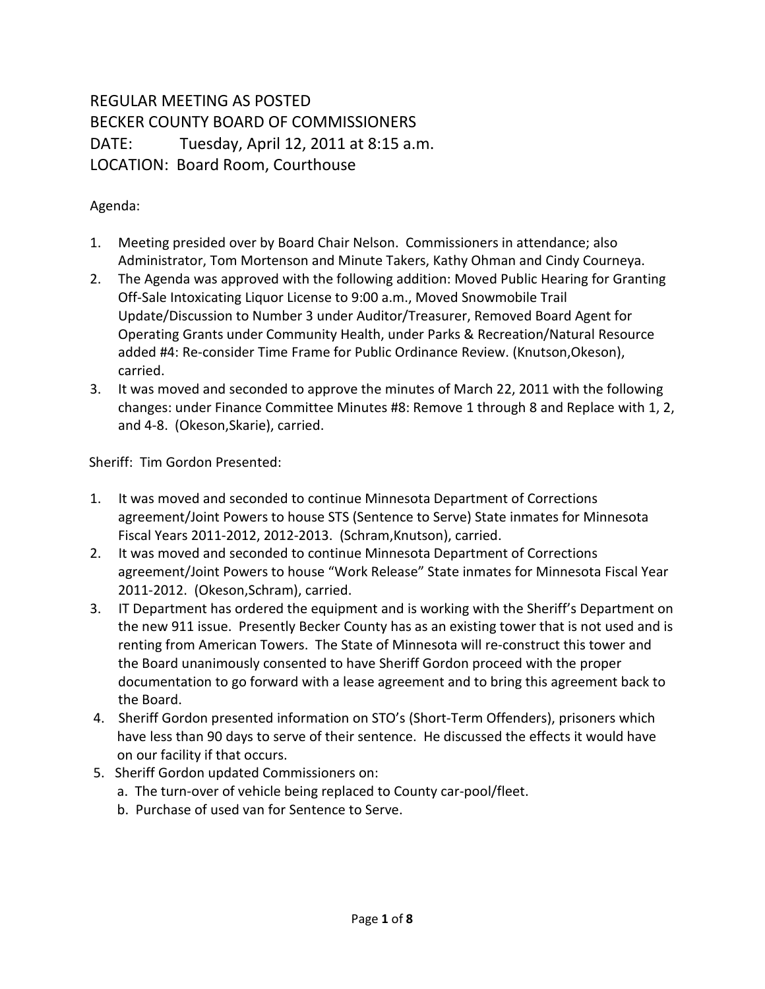## REGULAR MEETING AS POSTED BECKER COUNTY BOARD OF COMMISSIONERS DATE: Tuesday, April 12, 2011 at 8:15 a.m. LOCATION: Board Room, Courthouse

## Agenda:

- 1. Meeting presided over by Board Chair Nelson. Commissioners in attendance; also Administrator, Tom Mortenson and Minute Takers, Kathy Ohman and Cindy Courneya.
- 2. The Agenda was approved with the following addition: Moved Public Hearing for Granting Off-Sale Intoxicating Liquor License to 9:00 a.m., Moved Snowmobile Trail Update/Discussion to Number 3 under Auditor/Treasurer, Removed Board Agent for Operating Grants under Community Health, under Parks & Recreation/Natural Resource added #4: Re-consider Time Frame for Public Ordinance Review. (Knutson,Okeson), carried.
- 3. It was moved and seconded to approve the minutes of March 22, 2011 with the following changes: under Finance Committee Minutes #8: Remove 1 through 8 and Replace with 1, 2, and 4-8. (Okeson,Skarie), carried.

Sheriff: Tim Gordon Presented:

- 1. It was moved and seconded to continue Minnesota Department of Corrections agreement/Joint Powers to house STS (Sentence to Serve) State inmates for Minnesota Fiscal Years 2011-2012, 2012-2013. (Schram,Knutson), carried.
- 2. It was moved and seconded to continue Minnesota Department of Corrections agreement/Joint Powers to house "Work Release" State inmates for Minnesota Fiscal Year 2011-2012. (Okeson,Schram), carried.
- 3. IT Department has ordered the equipment and is working with the Sheriff's Department on the new 911 issue. Presently Becker County has as an existing tower that is not used and is renting from American Towers. The State of Minnesota will re-construct this tower and the Board unanimously consented to have Sheriff Gordon proceed with the proper documentation to go forward with a lease agreement and to bring this agreement back to the Board.
- 4. Sheriff Gordon presented information on STO's (Short-Term Offenders), prisoners which have less than 90 days to serve of their sentence. He discussed the effects it would have on our facility if that occurs.
- 5. Sheriff Gordon updated Commissioners on:
	- a. The turn-over of vehicle being replaced to County car-pool/fleet.
	- b. Purchase of used van for Sentence to Serve.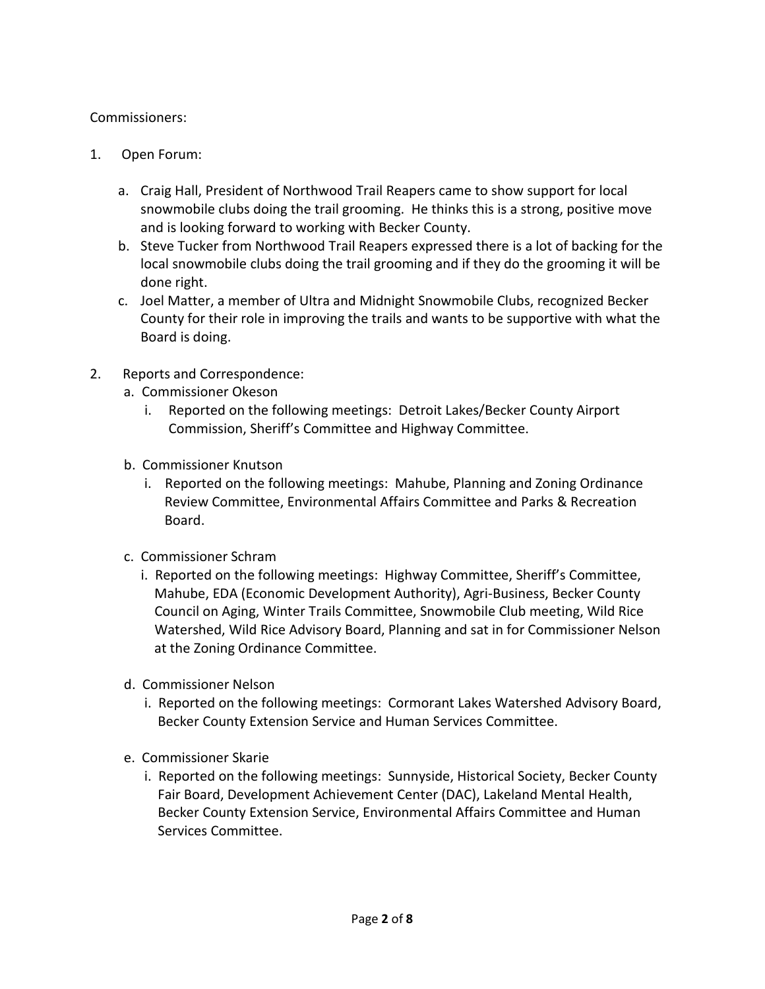## Commissioners:

- 1. Open Forum:
	- a. Craig Hall, President of Northwood Trail Reapers came to show support for local snowmobile clubs doing the trail grooming. He thinks this is a strong, positive move and is looking forward to working with Becker County.
	- b. Steve Tucker from Northwood Trail Reapers expressed there is a lot of backing for the local snowmobile clubs doing the trail grooming and if they do the grooming it will be done right.
	- c. Joel Matter, a member of Ultra and Midnight Snowmobile Clubs, recognized Becker County for their role in improving the trails and wants to be supportive with what the Board is doing.
- 2. Reports and Correspondence:
	- a. Commissioner Okeson
		- i. Reported on the following meetings: Detroit Lakes/Becker County Airport Commission, Sheriff's Committee and Highway Committee.
	- b. Commissioner Knutson
		- i. Reported on the following meetings: Mahube, Planning and Zoning Ordinance Review Committee, Environmental Affairs Committee and Parks & Recreation Board.
	- c. Commissioner Schram
		- i. Reported on the following meetings: Highway Committee, Sheriff's Committee, Mahube, EDA (Economic Development Authority), Agri-Business, Becker County Council on Aging, Winter Trails Committee, Snowmobile Club meeting, Wild Rice Watershed, Wild Rice Advisory Board, Planning and sat in for Commissioner Nelson at the Zoning Ordinance Committee.
	- d. Commissioner Nelson
		- i. Reported on the following meetings: Cormorant Lakes Watershed Advisory Board, Becker County Extension Service and Human Services Committee.
	- e. Commissioner Skarie
		- i. Reported on the following meetings: Sunnyside, Historical Society, Becker County Fair Board, Development Achievement Center (DAC), Lakeland Mental Health, Becker County Extension Service, Environmental Affairs Committee and Human Services Committee.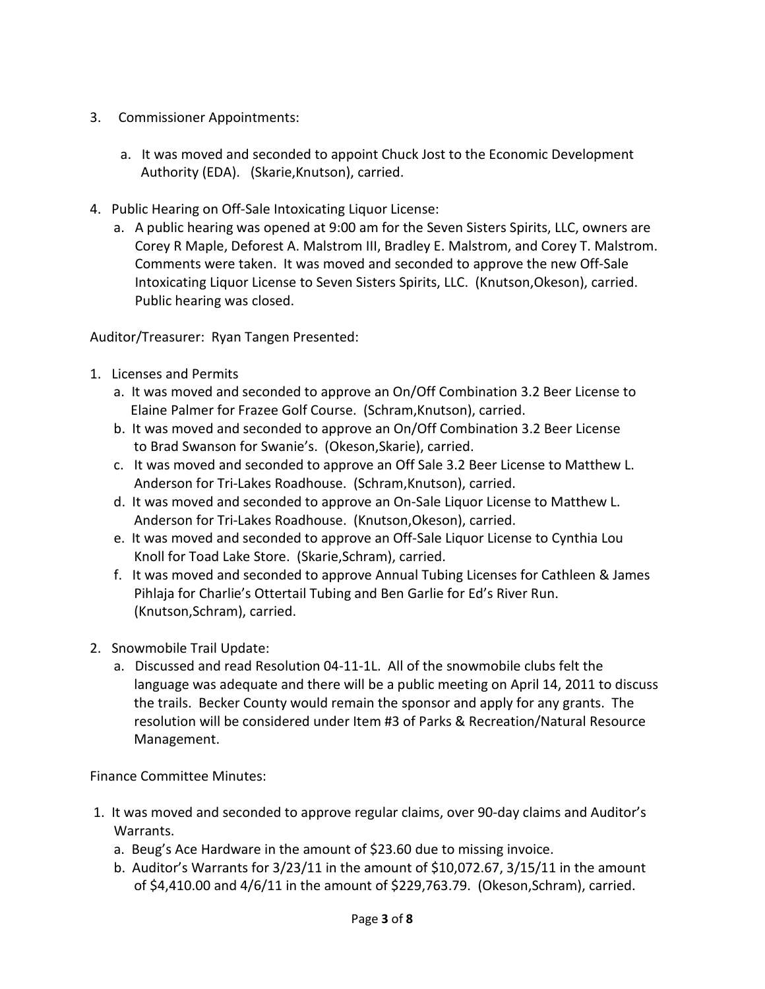- 3. Commissioner Appointments:
	- a. It was moved and seconded to appoint Chuck Jost to the Economic Development Authority (EDA). (Skarie,Knutson), carried.
- 4. Public Hearing on Off-Sale Intoxicating Liquor License:
	- a. A public hearing was opened at 9:00 am for the Seven Sisters Spirits, LLC, owners are Corey R Maple, Deforest A. Malstrom III, Bradley E. Malstrom, and Corey T. Malstrom. Comments were taken. It was moved and seconded to approve the new Off-Sale Intoxicating Liquor License to Seven Sisters Spirits, LLC. (Knutson,Okeson), carried. Public hearing was closed.

Auditor/Treasurer: Ryan Tangen Presented:

- 1. Licenses and Permits
	- a. It was moved and seconded to approve an On/Off Combination 3.2 Beer License to Elaine Palmer for Frazee Golf Course. (Schram,Knutson), carried.
	- b. It was moved and seconded to approve an On/Off Combination 3.2 Beer License to Brad Swanson for Swanie's. (Okeson,Skarie), carried.
	- c. It was moved and seconded to approve an Off Sale 3.2 Beer License to Matthew L. Anderson for Tri-Lakes Roadhouse. (Schram,Knutson), carried.
	- d. It was moved and seconded to approve an On-Sale Liquor License to Matthew L. Anderson for Tri-Lakes Roadhouse. (Knutson,Okeson), carried.
	- e. It was moved and seconded to approve an Off-Sale Liquor License to Cynthia Lou Knoll for Toad Lake Store. (Skarie,Schram), carried.
	- f. It was moved and seconded to approve Annual Tubing Licenses for Cathleen & James Pihlaja for Charlie's Ottertail Tubing and Ben Garlie for Ed's River Run. (Knutson,Schram), carried.
- 2. Snowmobile Trail Update:
	- a. Discussed and read Resolution 04-11-1L. All of the snowmobile clubs felt the language was adequate and there will be a public meeting on April 14, 2011 to discuss the trails. Becker County would remain the sponsor and apply for any grants. The resolution will be considered under Item #3 of Parks & Recreation/Natural Resource Management.

Finance Committee Minutes:

- 1. It was moved and seconded to approve regular claims, over 90-day claims and Auditor's Warrants.
	- a. Beug's Ace Hardware in the amount of \$23.60 due to missing invoice.
	- b. Auditor's Warrants for 3/23/11 in the amount of \$10,072.67, 3/15/11 in the amount of \$4,410.00 and 4/6/11 in the amount of \$229,763.79. (Okeson,Schram), carried.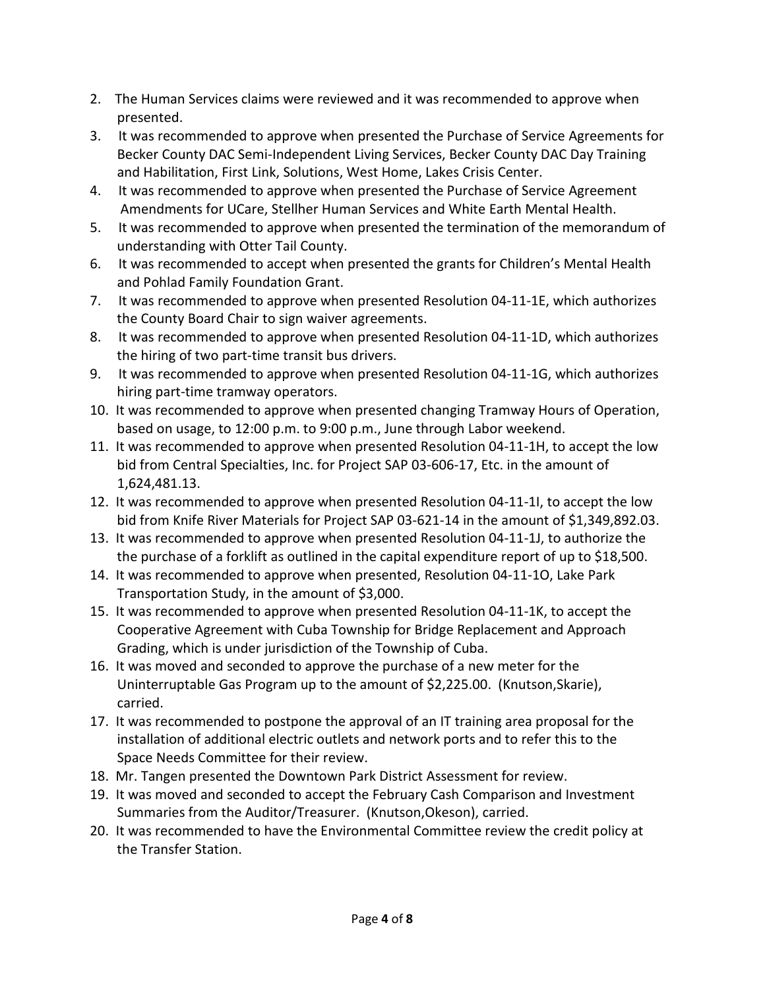- 2. The Human Services claims were reviewed and it was recommended to approve when presented.
- 3. It was recommended to approve when presented the Purchase of Service Agreements for Becker County DAC Semi-Independent Living Services, Becker County DAC Day Training and Habilitation, First Link, Solutions, West Home, Lakes Crisis Center.
- 4. It was recommended to approve when presented the Purchase of Service Agreement Amendments for UCare, Stellher Human Services and White Earth Mental Health.
- 5. It was recommended to approve when presented the termination of the memorandum of understanding with Otter Tail County.
- 6. It was recommended to accept when presented the grants for Children's Mental Health and Pohlad Family Foundation Grant.
- 7. It was recommended to approve when presented Resolution 04-11-1E, which authorizes the County Board Chair to sign waiver agreements.
- 8. It was recommended to approve when presented Resolution 04-11-1D, which authorizes the hiring of two part-time transit bus drivers.
- 9. It was recommended to approve when presented Resolution 04-11-1G, which authorizes hiring part-time tramway operators.
- 10. It was recommended to approve when presented changing Tramway Hours of Operation, based on usage, to 12:00 p.m. to 9:00 p.m., June through Labor weekend.
- 11. It was recommended to approve when presented Resolution 04-11-1H, to accept the low bid from Central Specialties, Inc. for Project SAP 03-606-17, Etc. in the amount of 1,624,481.13.
- 12. It was recommended to approve when presented Resolution 04-11-1I, to accept the low bid from Knife River Materials for Project SAP 03-621-14 in the amount of \$1,349,892.03.
- 13. It was recommended to approve when presented Resolution 04-11-1J, to authorize the the purchase of a forklift as outlined in the capital expenditure report of up to \$18,500.
- 14. It was recommended to approve when presented, Resolution 04-11-1O, Lake Park Transportation Study, in the amount of \$3,000.
- 15. It was recommended to approve when presented Resolution 04-11-1K, to accept the Cooperative Agreement with Cuba Township for Bridge Replacement and Approach Grading, which is under jurisdiction of the Township of Cuba.
- 16. It was moved and seconded to approve the purchase of a new meter for the Uninterruptable Gas Program up to the amount of \$2,225.00. (Knutson,Skarie), carried.
- 17. It was recommended to postpone the approval of an IT training area proposal for the installation of additional electric outlets and network ports and to refer this to the Space Needs Committee for their review.
- 18. Mr. Tangen presented the Downtown Park District Assessment for review.
- 19. It was moved and seconded to accept the February Cash Comparison and Investment Summaries from the Auditor/Treasurer. (Knutson,Okeson), carried.
- 20. It was recommended to have the Environmental Committee review the credit policy at the Transfer Station.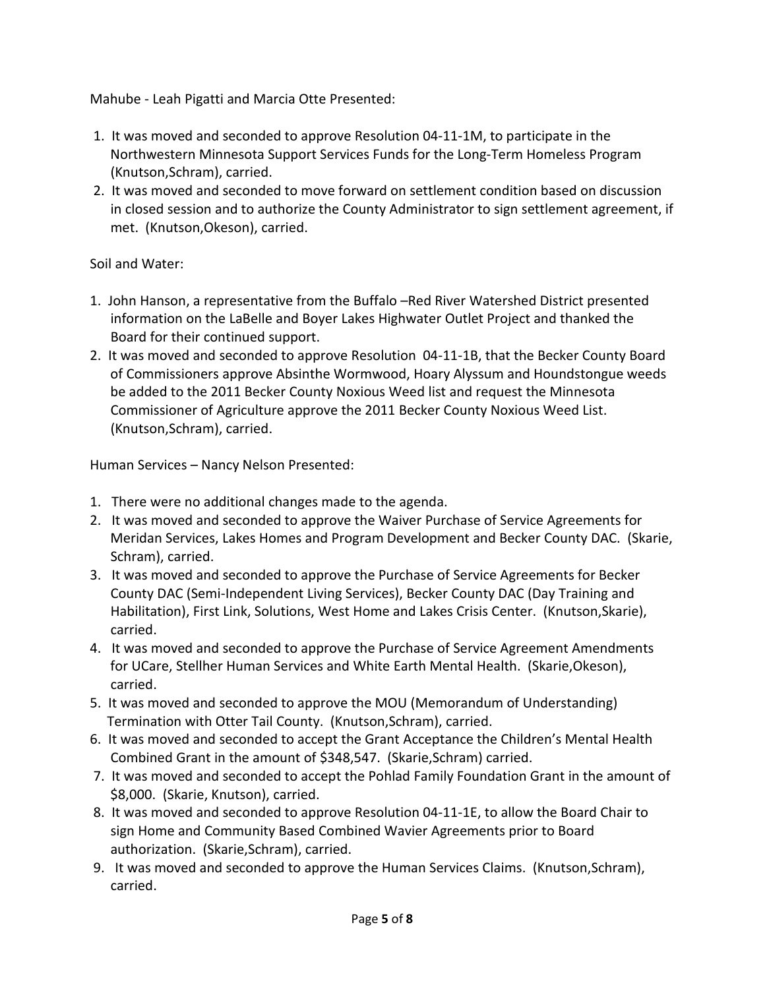Mahube - Leah Pigatti and Marcia Otte Presented:

- 1. It was moved and seconded to approve Resolution 04-11-1M, to participate in the Northwestern Minnesota Support Services Funds for the Long-Term Homeless Program (Knutson,Schram), carried.
- 2. It was moved and seconded to move forward on settlement condition based on discussion in closed session and to authorize the County Administrator to sign settlement agreement, if met. (Knutson,Okeson), carried.

Soil and Water:

- 1. John Hanson, a representative from the Buffalo –Red River Watershed District presented information on the LaBelle and Boyer Lakes Highwater Outlet Project and thanked the Board for their continued support.
- 2. It was moved and seconded to approve Resolution 04-11-1B, that the Becker County Board of Commissioners approve Absinthe Wormwood, Hoary Alyssum and Houndstongue weeds be added to the 2011 Becker County Noxious Weed list and request the Minnesota Commissioner of Agriculture approve the 2011 Becker County Noxious Weed List. (Knutson,Schram), carried.

Human Services – Nancy Nelson Presented:

- 1. There were no additional changes made to the agenda.
- 2. It was moved and seconded to approve the Waiver Purchase of Service Agreements for Meridan Services, Lakes Homes and Program Development and Becker County DAC. (Skarie, Schram), carried.
- 3. It was moved and seconded to approve the Purchase of Service Agreements for Becker County DAC (Semi-Independent Living Services), Becker County DAC (Day Training and Habilitation), First Link, Solutions, West Home and Lakes Crisis Center. (Knutson,Skarie), carried.
- 4. It was moved and seconded to approve the Purchase of Service Agreement Amendments for UCare, Stellher Human Services and White Earth Mental Health. (Skarie,Okeson), carried.
- 5. It was moved and seconded to approve the MOU (Memorandum of Understanding) Termination with Otter Tail County. (Knutson,Schram), carried.
- 6. It was moved and seconded to accept the Grant Acceptance the Children's Mental Health Combined Grant in the amount of \$348,547. (Skarie,Schram) carried.
- 7. It was moved and seconded to accept the Pohlad Family Foundation Grant in the amount of \$8,000. (Skarie, Knutson), carried.
- 8. It was moved and seconded to approve Resolution 04-11-1E, to allow the Board Chair to sign Home and Community Based Combined Wavier Agreements prior to Board authorization. (Skarie,Schram), carried.
- 9. It was moved and seconded to approve the Human Services Claims. (Knutson,Schram), carried.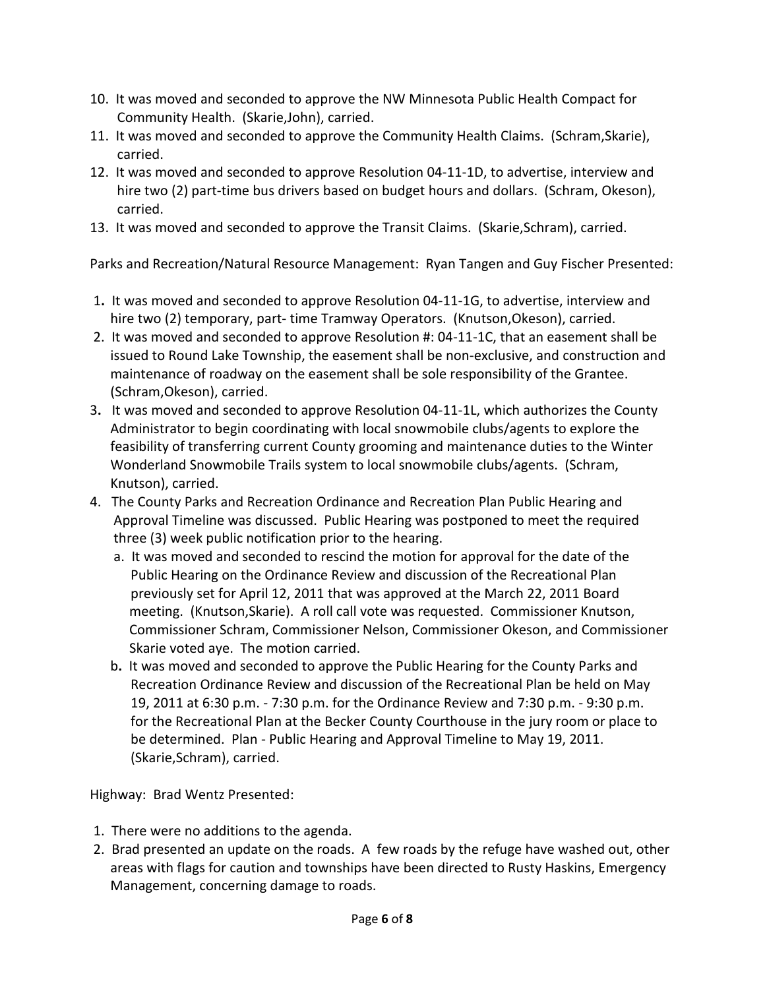- 10. It was moved and seconded to approve the NW Minnesota Public Health Compact for Community Health. (Skarie,John), carried.
- 11. It was moved and seconded to approve the Community Health Claims. (Schram,Skarie), carried.
- 12. It was moved and seconded to approve Resolution 04-11-1D, to advertise, interview and hire two (2) part-time bus drivers based on budget hours and dollars. (Schram, Okeson), carried.
- 13. It was moved and seconded to approve the Transit Claims. (Skarie,Schram), carried.

Parks and Recreation/Natural Resource Management: Ryan Tangen and Guy Fischer Presented:

- 1**.** It was moved and seconded to approve Resolution 04-11-1G, to advertise, interview and hire two (2) temporary, part- time Tramway Operators. (Knutson,Okeson), carried.
- 2. It was moved and seconded to approve Resolution #: 04-11-1C, that an easement shall be issued to Round Lake Township, the easement shall be non-exclusive, and construction and maintenance of roadway on the easement shall be sole responsibility of the Grantee. (Schram,Okeson), carried.
- 3**.** It was moved and seconded to approve Resolution 04-11-1L, which authorizes the County Administrator to begin coordinating with local snowmobile clubs/agents to explore the feasibility of transferring current County grooming and maintenance duties to the Winter Wonderland Snowmobile Trails system to local snowmobile clubs/agents. (Schram, Knutson), carried.
- 4. The County Parks and Recreation Ordinance and Recreation Plan Public Hearing and Approval Timeline was discussed. Public Hearing was postponed to meet the required three (3) week public notification prior to the hearing.
	- a. It was moved and seconded to rescind the motion for approval for the date of the Public Hearing on the Ordinance Review and discussion of the Recreational Plan previously set for April 12, 2011 that was approved at the March 22, 2011 Board meeting. (Knutson,Skarie). A roll call vote was requested. Commissioner Knutson, Commissioner Schram, Commissioner Nelson, Commissioner Okeson, and Commissioner Skarie voted aye. The motion carried.
	- b**.** It was moved and seconded to approve the Public Hearing for the County Parks and Recreation Ordinance Review and discussion of the Recreational Plan be held on May 19, 2011 at 6:30 p.m. - 7:30 p.m. for the Ordinance Review and 7:30 p.m. - 9:30 p.m. for the Recreational Plan at the Becker County Courthouse in the jury room or place to be determined. Plan - Public Hearing and Approval Timeline to May 19, 2011. (Skarie,Schram), carried.

Highway: Brad Wentz Presented:

- 1. There were no additions to the agenda.
- 2. Brad presented an update on the roads. A few roads by the refuge have washed out, other areas with flags for caution and townships have been directed to Rusty Haskins, Emergency Management, concerning damage to roads.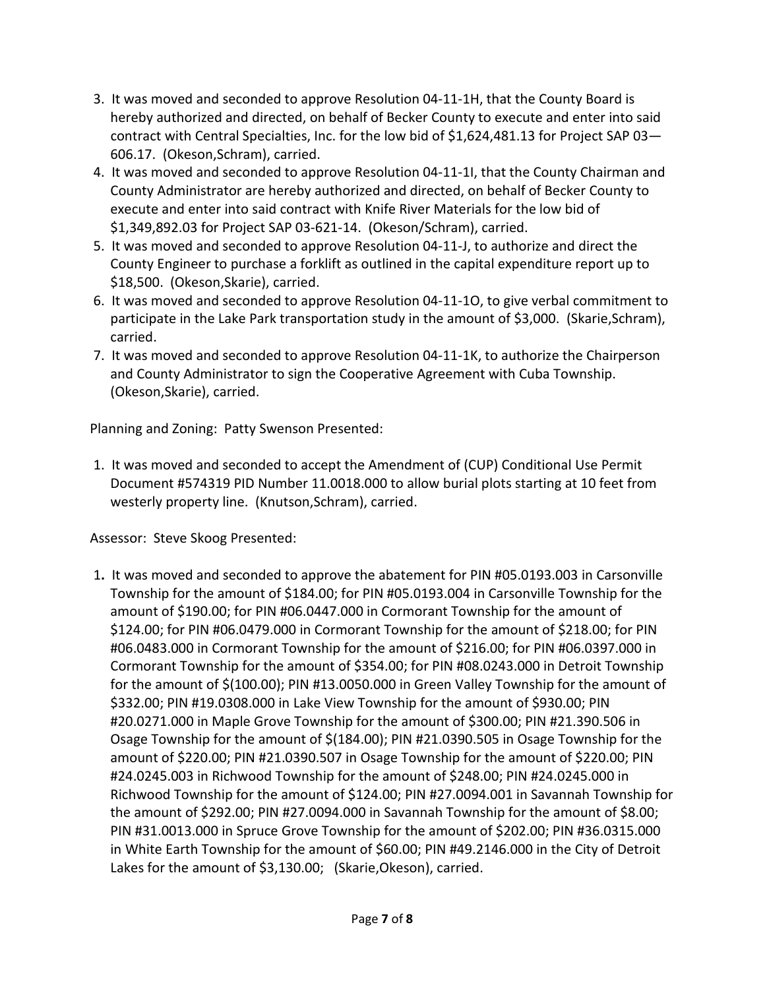- 3. It was moved and seconded to approve Resolution 04-11-1H, that the County Board is hereby authorized and directed, on behalf of Becker County to execute and enter into said contract with Central Specialties, Inc. for the low bid of \$1,624,481.13 for Project SAP 03— 606.17. (Okeson,Schram), carried.
- 4. It was moved and seconded to approve Resolution 04-11-1I, that the County Chairman and County Administrator are hereby authorized and directed, on behalf of Becker County to execute and enter into said contract with Knife River Materials for the low bid of \$1,349,892.03 for Project SAP 03-621-14. (Okeson/Schram), carried.
- 5. It was moved and seconded to approve Resolution 04-11-J, to authorize and direct the County Engineer to purchase a forklift as outlined in the capital expenditure report up to \$18,500. (Okeson,Skarie), carried.
- 6. It was moved and seconded to approve Resolution 04-11-1O, to give verbal commitment to participate in the Lake Park transportation study in the amount of \$3,000. (Skarie,Schram), carried.
- 7. It was moved and seconded to approve Resolution 04-11-1K, to authorize the Chairperson and County Administrator to sign the Cooperative Agreement with Cuba Township. (Okeson,Skarie), carried.

Planning and Zoning: Patty Swenson Presented:

1. It was moved and seconded to accept the Amendment of (CUP) Conditional Use Permit Document #574319 PID Number 11.0018.000 to allow burial plots starting at 10 feet from westerly property line. (Knutson,Schram), carried.

Assessor: Steve Skoog Presented:

1**.** It was moved and seconded to approve the abatement for PIN #05.0193.003 in Carsonville Township for the amount of \$184.00; for PIN #05.0193.004 in Carsonville Township for the amount of \$190.00; for PIN #06.0447.000 in Cormorant Township for the amount of \$124.00; for PIN #06.0479.000 in Cormorant Township for the amount of \$218.00; for PIN #06.0483.000 in Cormorant Township for the amount of \$216.00; for PIN #06.0397.000 in Cormorant Township for the amount of \$354.00; for PIN #08.0243.000 in Detroit Township for the amount of \$(100.00); PIN #13.0050.000 in Green Valley Township for the amount of \$332.00; PIN #19.0308.000 in Lake View Township for the amount of \$930.00; PIN #20.0271.000 in Maple Grove Township for the amount of \$300.00; PIN #21.390.506 in Osage Township for the amount of \$(184.00); PIN #21.0390.505 in Osage Township for the amount of \$220.00; PIN #21.0390.507 in Osage Township for the amount of \$220.00; PIN #24.0245.003 in Richwood Township for the amount of \$248.00; PIN #24.0245.000 in Richwood Township for the amount of \$124.00; PIN #27.0094.001 in Savannah Township for the amount of \$292.00; PIN #27.0094.000 in Savannah Township for the amount of \$8.00; PIN #31.0013.000 in Spruce Grove Township for the amount of \$202.00; PIN #36.0315.000 in White Earth Township for the amount of \$60.00; PIN #49.2146.000 in the City of Detroit Lakes for the amount of \$3,130.00; (Skarie, Okeson), carried.